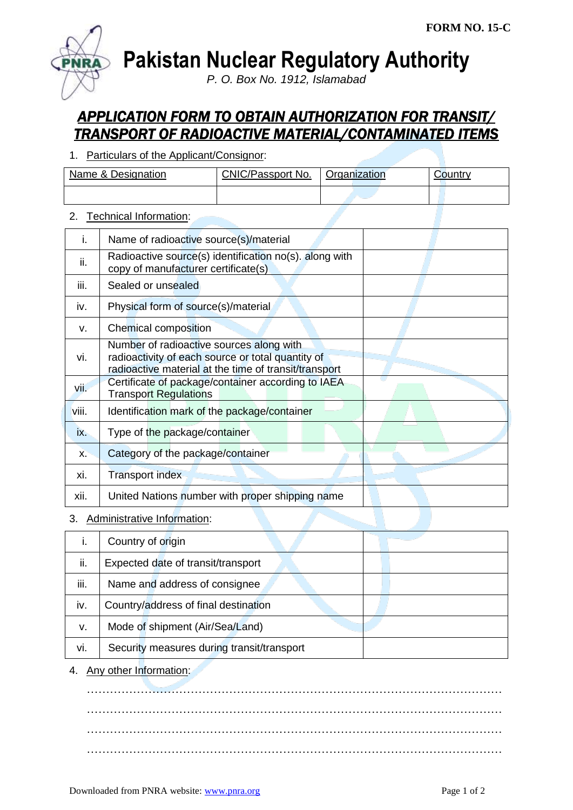

**Pakistan Nuclear Regulatory Authority**

*P. O. Box No. 1912, Islamabad*

## *APPLICATION FORM TO OBTAIN AUTHORIZATION FOR TRANSIT/ TRANSPORT OF RADIOACTIVE MATERIAL/CONTAMINATED ITEMS*

1. Particulars of the Applicant/Consignor:

| Name & Designation | CNIC/Passport No. | Organization |  |
|--------------------|-------------------|--------------|--|
|                    |                   |              |  |

## 2. Technical Information:

| Τ.    | Name of radioactive source(s)/material                                                                                                                 |  |
|-------|--------------------------------------------------------------------------------------------------------------------------------------------------------|--|
| ii.   | Radioactive source(s) identification no(s). along with<br>copy of manufacturer certificate(s)                                                          |  |
| iii.  | Sealed or unsealed                                                                                                                                     |  |
| iv.   | Physical form of source(s)/material                                                                                                                    |  |
| v.    | Chemical composition                                                                                                                                   |  |
| vi.   | Number of radioactive sources along with<br>radioactivity of each source or total quantity of<br>radioactive material at the time of transit/transport |  |
| vii.  | Certificate of package/container according to IAEA<br><b>Transport Regulations</b>                                                                     |  |
| viii. | Identification mark of the package/container                                                                                                           |  |
| ix.   | Type of the package/container                                                                                                                          |  |
| X.    | Category of the package/container                                                                                                                      |  |
| xi.   | <b>Transport index</b>                                                                                                                                 |  |
| хii.  | United Nations number with proper shipping name                                                                                                        |  |

## 3. Administrative Information:

| ι.   | Country of origin                          |  |
|------|--------------------------------------------|--|
| ii.  | Expected date of transit/transport         |  |
| iii. | Name and address of consignee              |  |
| iv.  | Country/address of final destination       |  |
| v.   | Mode of shipment (Air/Sea/Land)            |  |
| vi.  | Security measures during transit/transport |  |

4. Any other Information:

……………………………………………………………………………………………… ……………………………………………………………………………………………… ……………………………………………………………………………………………… ………………………………………………………………………………………………